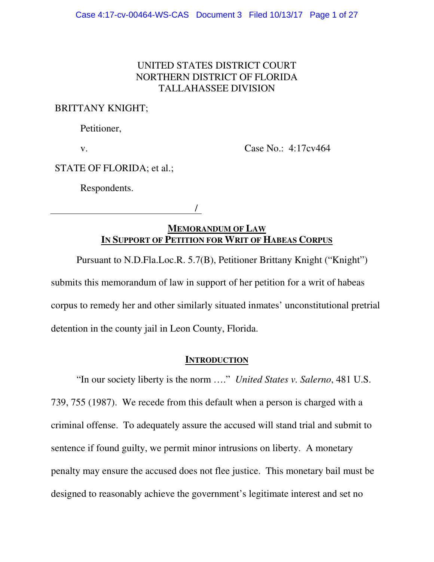### UNITED STATES DISTRICT COURT NORTHERN DISTRICT OF FLORIDA TALLAHASSEE DIVISION

### BRITTANY KNIGHT;

Petitioner,

v.

Case No.: 4:17cv464

STATE OF FLORIDA; et al.;

Respondents.

/

## **MEMORANDUM OF LAW IN SUPPORT OF PETITION FOR WRIT OF HABEAS CORPUS**

Pursuant to N.D.Fla.Loc.R. 5.7(B), Petitioner Brittany Knight ("Knight")

submits this memorandum of law in support of her petition for a writ of habeas corpus to remedy her and other similarly situated inmates' unconstitutional pretrial detention in the county jail in Leon County, Florida.

### **INTRODUCTION**

"In our society liberty is the norm …." *United States v. Salerno*, 481 U.S. 739, 755 (1987). We recede from this default when a person is charged with a criminal offense. To adequately assure the accused will stand trial and submit to sentence if found guilty, we permit minor intrusions on liberty. A monetary penalty may ensure the accused does not flee justice. This monetary bail must be designed to reasonably achieve the government's legitimate interest and set no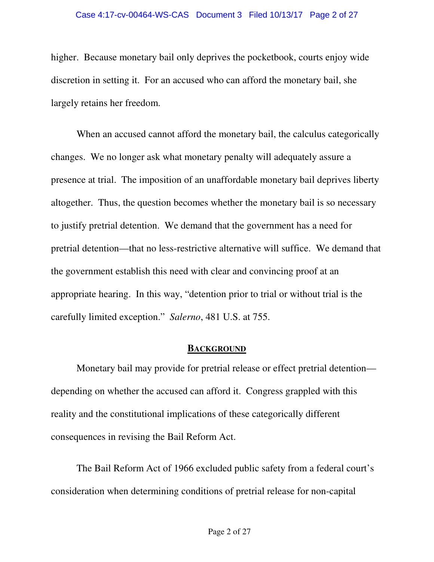higher. Because monetary bail only deprives the pocketbook, courts enjoy wide discretion in setting it. For an accused who can afford the monetary bail, she largely retains her freedom.

When an accused cannot afford the monetary bail, the calculus categorically changes. We no longer ask what monetary penalty will adequately assure a presence at trial. The imposition of an unaffordable monetary bail deprives liberty altogether. Thus, the question becomes whether the monetary bail is so necessary to justify pretrial detention. We demand that the government has a need for pretrial detention—that no less-restrictive alternative will suffice. We demand that the government establish this need with clear and convincing proof at an appropriate hearing. In this way, "detention prior to trial or without trial is the carefully limited exception." *Salerno*, 481 U.S. at 755.

### **BACKGROUND**

Monetary bail may provide for pretrial release or effect pretrial detention depending on whether the accused can afford it. Congress grappled with this reality and the constitutional implications of these categorically different consequences in revising the Bail Reform Act.

The Bail Reform Act of 1966 excluded public safety from a federal court's consideration when determining conditions of pretrial release for non-capital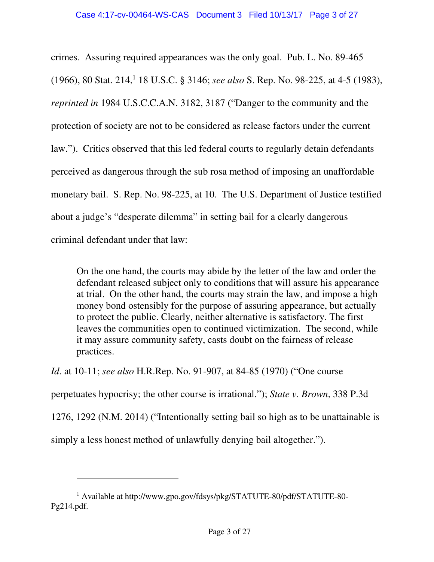crimes. Assuring required appearances was the only goal. Pub. L. No. 89-465 (1966), 80 Stat. 214,<sup>1</sup> 18 U.S.C. § 3146; *see also* S. Rep. No. 98-225, at 4-5 (1983), *reprinted in* 1984 U.S.C.C.A.N. 3182, 3187 ("Danger to the community and the protection of society are not to be considered as release factors under the current law."). Critics observed that this led federal courts to regularly detain defendants perceived as dangerous through the sub rosa method of imposing an unaffordable monetary bail. S. Rep. No. 98-225, at 10. The U.S. Department of Justice testified about a judge's "desperate dilemma" in setting bail for a clearly dangerous criminal defendant under that law:

On the one hand, the courts may abide by the letter of the law and order the defendant released subject only to conditions that will assure his appearance at trial. On the other hand, the courts may strain the law, and impose a high money bond ostensibly for the purpose of assuring appearance, but actually to protect the public. Clearly, neither alternative is satisfactory. The first leaves the communities open to continued victimization. The second, while it may assure community safety, casts doubt on the fairness of release practices.

*Id*. at 10-11; *see also* H.R.Rep. No. 91-907, at 84-85 (1970) ("One course

perpetuates hypocrisy; the other course is irrational."); *State v. Brown*, 338 P.3d

1276, 1292 (N.M. 2014) ("Intentionally setting bail so high as to be unattainable is

simply a less honest method of unlawfully denying bail altogether.").

 $\ddot{\phantom{a}}$ 

<sup>1</sup> Available at http://www.gpo.gov/fdsys/pkg/STATUTE-80/pdf/STATUTE-80- Pg214.pdf.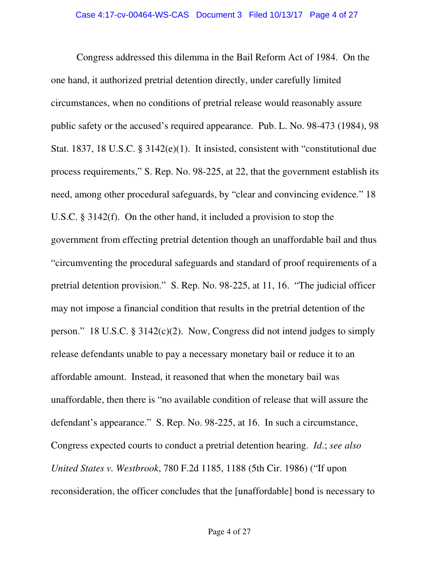Congress addressed this dilemma in the Bail Reform Act of 1984. On the one hand, it authorized pretrial detention directly, under carefully limited circumstances, when no conditions of pretrial release would reasonably assure public safety or the accused's required appearance. Pub. L. No. 98-473 (1984), 98 Stat. 1837, 18 U.S.C. § 3142(e)(1). It insisted, consistent with "constitutional due process requirements," S. Rep. No. 98-225, at 22, that the government establish its need, among other procedural safeguards, by "clear and convincing evidence." 18 U.S.C. § 3142(f). On the other hand, it included a provision to stop the government from effecting pretrial detention though an unaffordable bail and thus "circumventing the procedural safeguards and standard of proof requirements of a pretrial detention provision." S. Rep. No. 98-225, at 11, 16. "The judicial officer may not impose a financial condition that results in the pretrial detention of the person." 18 U.S.C. § 3142(c)(2). Now, Congress did not intend judges to simply release defendants unable to pay a necessary monetary bail or reduce it to an affordable amount. Instead, it reasoned that when the monetary bail was unaffordable, then there is "no available condition of release that will assure the defendant's appearance." S. Rep. No. 98-225, at 16. In such a circumstance, Congress expected courts to conduct a pretrial detention hearing. *Id*.; *see also United States v. Westbrook*, 780 F.2d 1185, 1188 (5th Cir. 1986) ("If upon reconsideration, the officer concludes that the [unaffordable] bond is necessary to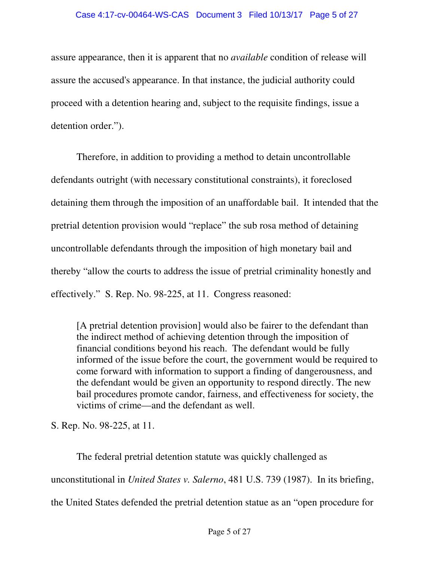assure appearance, then it is apparent that no *available* condition of release will assure the accused's appearance. In that instance, the judicial authority could proceed with a detention hearing and, subject to the requisite findings, issue a detention order.").

Therefore, in addition to providing a method to detain uncontrollable defendants outright (with necessary constitutional constraints), it foreclosed detaining them through the imposition of an unaffordable bail. It intended that the pretrial detention provision would "replace" the sub rosa method of detaining uncontrollable defendants through the imposition of high monetary bail and thereby "allow the courts to address the issue of pretrial criminality honestly and effectively." S. Rep. No. 98-225, at 11. Congress reasoned:

[A pretrial detention provision] would also be fairer to the defendant than the indirect method of achieving detention through the imposition of financial conditions beyond his reach. The defendant would be fully informed of the issue before the court, the government would be required to come forward with information to support a finding of dangerousness, and the defendant would be given an opportunity to respond directly. The new bail procedures promote candor, fairness, and effectiveness for society, the victims of crime—and the defendant as well.

S. Rep. No. 98-225, at 11.

The federal pretrial detention statute was quickly challenged as unconstitutional in *United States v. Salerno*, 481 U.S. 739 (1987). In its briefing, the United States defended the pretrial detention statue as an "open procedure for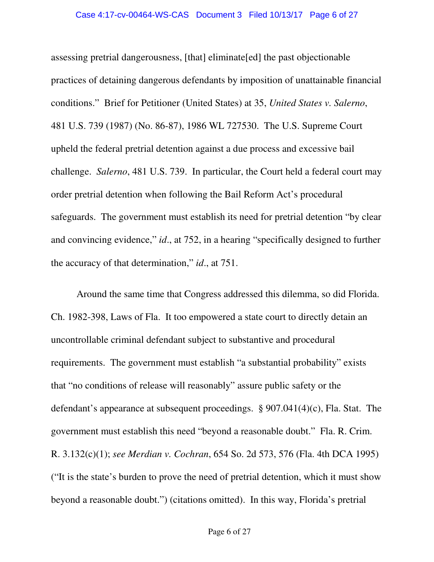assessing pretrial dangerousness, [that] eliminate[ed] the past objectionable practices of detaining dangerous defendants by imposition of unattainable financial conditions."Brief for Petitioner (United States) at 35, *United States v. Salerno*, 481 U.S. 739 (1987) (No. 86-87), 1986 WL 727530. The U.S. Supreme Court upheld the federal pretrial detention against a due process and excessive bail challenge. *Salerno*, 481 U.S. 739. In particular, the Court held a federal court may order pretrial detention when following the Bail Reform Act's procedural safeguards. The government must establish its need for pretrial detention "by clear and convincing evidence," *id*., at 752, in a hearing "specifically designed to further the accuracy of that determination," *id*., at 751.

Around the same time that Congress addressed this dilemma, so did Florida. Ch. 1982-398, Laws of Fla. It too empowered a state court to directly detain an uncontrollable criminal defendant subject to substantive and procedural requirements. The government must establish "a substantial probability" exists that "no conditions of release will reasonably" assure public safety or the defendant's appearance at subsequent proceedings. § 907.041(4)(c), Fla. Stat. The government must establish this need "beyond a reasonable doubt." Fla. R. Crim. R. 3.132(c)(1); *see Merdian v. Cochran*, 654 So. 2d 573, 576 (Fla. 4th DCA 1995) ("It is the state's burden to prove the need of pretrial detention, which it must show beyond a reasonable doubt.") (citations omitted). In this way, Florida's pretrial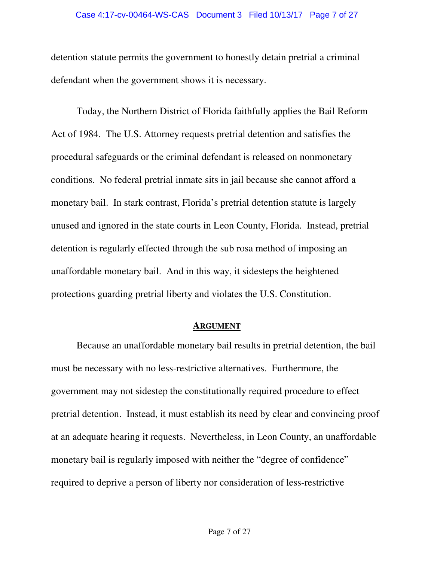#### Case 4:17-cv-00464-WS-CAS Document 3 Filed 10/13/17 Page 7 of 27

detention statute permits the government to honestly detain pretrial a criminal defendant when the government shows it is necessary.

Today, the Northern District of Florida faithfully applies the Bail Reform Act of 1984. The U.S. Attorney requests pretrial detention and satisfies the procedural safeguards or the criminal defendant is released on nonmonetary conditions. No federal pretrial inmate sits in jail because she cannot afford a monetary bail. In stark contrast, Florida's pretrial detention statute is largely unused and ignored in the state courts in Leon County, Florida. Instead, pretrial detention is regularly effected through the sub rosa method of imposing an unaffordable monetary bail. And in this way, it sidesteps the heightened protections guarding pretrial liberty and violates the U.S. Constitution.

#### **ARGUMENT**

Because an unaffordable monetary bail results in pretrial detention, the bail must be necessary with no less-restrictive alternatives. Furthermore, the government may not sidestep the constitutionally required procedure to effect pretrial detention. Instead, it must establish its need by clear and convincing proof at an adequate hearing it requests. Nevertheless, in Leon County, an unaffordable monetary bail is regularly imposed with neither the "degree of confidence" required to deprive a person of liberty nor consideration of less-restrictive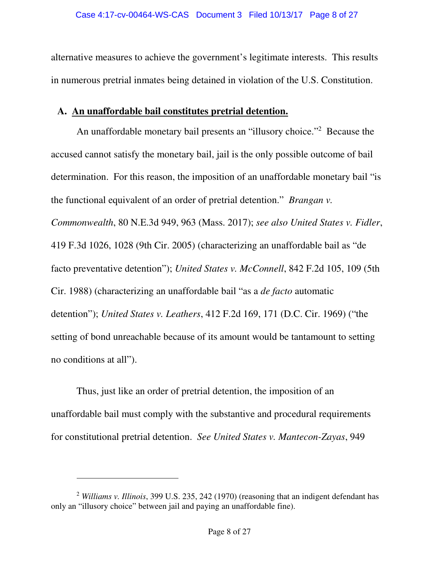alternative measures to achieve the government's legitimate interests. This results in numerous pretrial inmates being detained in violation of the U.S. Constitution.

### **A. An unaffordable bail constitutes pretrial detention.**

An unaffordable monetary bail presents an "illusory choice."<sup>2</sup> Because the accused cannot satisfy the monetary bail, jail is the only possible outcome of bail determination. For this reason, the imposition of an unaffordable monetary bail "is the functional equivalent of an order of pretrial detention." *Brangan v. Commonwealth*, 80 N.E.3d 949, 963 (Mass. 2017); *see also United States v. Fidler*, 419 F.3d 1026, 1028 (9th Cir. 2005) (characterizing an unaffordable bail as "de facto preventative detention"); *United States v. McConnell*, 842 F.2d 105, 109 (5th Cir. 1988) (characterizing an unaffordable bail "as a *de facto* automatic detention"); *United States v. Leathers*, 412 F.2d 169, 171 (D.C. Cir. 1969) ("the setting of bond unreachable because of its amount would be tantamount to setting no conditions at all").

Thus, just like an order of pretrial detention, the imposition of an unaffordable bail must comply with the substantive and procedural requirements for constitutional pretrial detention. *See United States v. Mantecon-Zayas*, 949

 $\overline{a}$ 

<sup>2</sup> *Williams v. Illinois*, 399 U.S. 235, 242 (1970) (reasoning that an indigent defendant has only an "illusory choice" between jail and paying an unaffordable fine).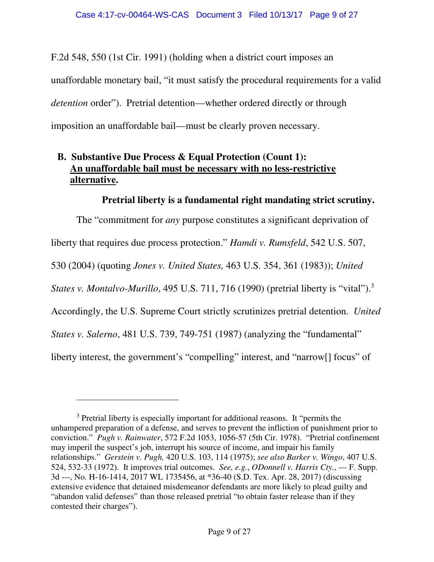F.2d 548, 550 (1st Cir. 1991) (holding when a district court imposes an unaffordable monetary bail, "it must satisfy the procedural requirements for a valid *detention* order"). Pretrial detention—whether ordered directly or through imposition an unaffordable bail—must be clearly proven necessary.

# **B. Substantive Due Process & Equal Protection (Count 1): An unaffordable bail must be necessary with no less-restrictive alternative.**

### **Pretrial liberty is a fundamental right mandating strict scrutiny.**

The "commitment for *any* purpose constitutes a significant deprivation of liberty that requires due process protection." *Hamdi v. Rumsfeld*, 542 U.S. 507, 530 (2004) (quoting *Jones v. United States,* 463 U.S. 354, 361 (1983)); *United States v. Montalvo-Murillo*, 495 U.S. 711, 716 (1990) (pretrial liberty is "vital").<sup>3</sup> Accordingly, the U.S. Supreme Court strictly scrutinizes pretrial detention. *United States v. Salerno*, 481 U.S. 739, 749-751 (1987) (analyzing the "fundamental" liberty interest, the government's "compelling" interest, and "narrow[] focus" of

 $\overline{a}$ 

<sup>&</sup>lt;sup>3</sup> Pretrial liberty is especially important for additional reasons. It "permits the unhampered preparation of a defense, and serves to prevent the infliction of punishment prior to conviction." *Pugh v. Rainwater*, 572 F.2d 1053, 1056-57 (5th Cir. 1978). "Pretrial confinement may imperil the suspect's job, interrupt his source of income, and impair his family relationships." *Gerstein v. Pugh,* 420 U.S. 103, 114 (1975); *see also Barker v. Wingo*, 407 U.S. 524, 532-33 (1972). It improves trial outcomes. *See, e.g.*, *ODonnell v. Harris Cty.*, --- F. Supp. 3d ---, No. H-16-1414, 2017 WL 1735456, at \*36-40 (S.D. Tex. Apr. 28, 2017) (discussing extensive evidence that detained misdemeanor defendants are more likely to plead guilty and "abandon valid defenses" than those released pretrial "to obtain faster release than if they contested their charges").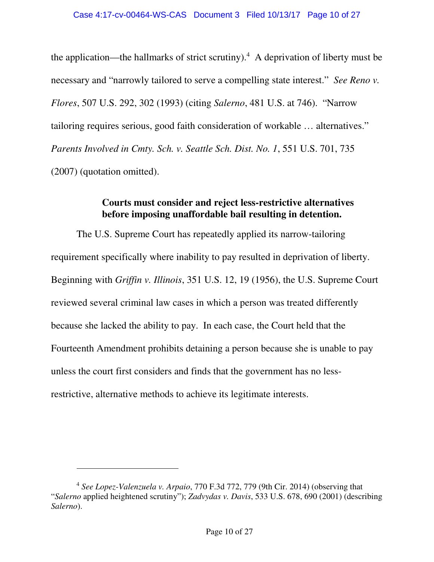the application—the hallmarks of strict scrutiny).<sup>4</sup> A deprivation of liberty must be necessary and "narrowly tailored to serve a compelling state interest." *See Reno v. Flores*, 507 U.S. 292, 302 (1993) (citing *Salerno*, 481 U.S. at 746). "Narrow tailoring requires serious, good faith consideration of workable … alternatives." *Parents Involved in Cmty. Sch. v. Seattle Sch. Dist. No. 1*, 551 U.S. 701, 735 (2007) (quotation omitted).

### **Courts must consider and reject less-restrictive alternatives before imposing unaffordable bail resulting in detention.**

The U.S. Supreme Court has repeatedly applied its narrow-tailoring requirement specifically where inability to pay resulted in deprivation of liberty. Beginning with *Griffin v. Illinois*, 351 U.S. 12, 19 (1956), the U.S. Supreme Court reviewed several criminal law cases in which a person was treated differently because she lacked the ability to pay. In each case, the Court held that the Fourteenth Amendment prohibits detaining a person because she is unable to pay unless the court first considers and finds that the government has no lessrestrictive, alternative methods to achieve its legitimate interests.

 $\ddot{\phantom{a}}$ 

<sup>4</sup> *See Lopez-Valenzuela v. Arpaio*, 770 F.3d 772, 779 (9th Cir. 2014) (observing that "*Salerno* applied heightened scrutiny"); *Zadvydas v. Davis*, 533 U.S. 678, 690 (2001) (describing *Salerno*).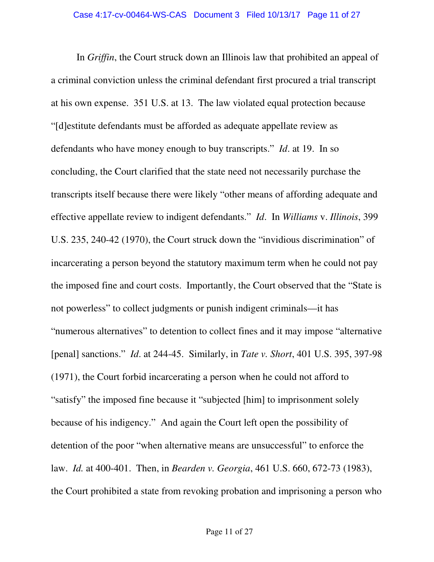In *Griffin*, the Court struck down an Illinois law that prohibited an appeal of a criminal conviction unless the criminal defendant first procured a trial transcript at his own expense. 351 U.S. at 13. The law violated equal protection because "[d]estitute defendants must be afforded as adequate appellate review as defendants who have money enough to buy transcripts." *Id*. at 19. In so concluding, the Court clarified that the state need not necessarily purchase the transcripts itself because there were likely "other means of affording adequate and effective appellate review to indigent defendants." *Id*. In *Williams* v. *Illinois*, 399 U.S. 235, 240-42 (1970), the Court struck down the "invidious discrimination" of incarcerating a person beyond the statutory maximum term when he could not pay the imposed fine and court costs. Importantly, the Court observed that the "State is not powerless" to collect judgments or punish indigent criminals—it has "numerous alternatives" to detention to collect fines and it may impose "alternative [penal] sanctions." *Id*. at 244-45. Similarly, in *Tate v. Short*, 401 U.S. 395, 397-98 (1971), the Court forbid incarcerating a person when he could not afford to "satisfy" the imposed fine because it "subjected [him] to imprisonment solely because of his indigency." And again the Court left open the possibility of detention of the poor "when alternative means are unsuccessful" to enforce the law. *Id.* at 400-401. Then, in *Bearden v. Georgia*, 461 U.S. 660, 672-73 (1983), the Court prohibited a state from revoking probation and imprisoning a person who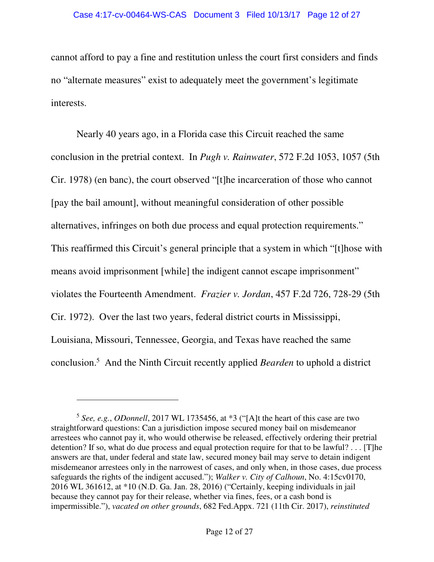#### Case 4:17-cv-00464-WS-CAS Document 3 Filed 10/13/17 Page 12 of 27

cannot afford to pay a fine and restitution unless the court first considers and finds no "alternate measures" exist to adequately meet the government's legitimate interests.

Nearly 40 years ago, in a Florida case this Circuit reached the same conclusion in the pretrial context. In *Pugh v. Rainwater*, 572 F.2d 1053, 1057 (5th Cir. 1978) (en banc), the court observed "[t]he incarceration of those who cannot [pay the bail amount], without meaningful consideration of other possible alternatives, infringes on both due process and equal protection requirements." This reaffirmed this Circuit's general principle that a system in which "[t]hose with means avoid imprisonment [while] the indigent cannot escape imprisonment" violates the Fourteenth Amendment. *Frazier v. Jordan*, 457 F.2d 726, 728-29 (5th Cir. 1972). Over the last two years, federal district courts in Mississippi, Louisiana, Missouri, Tennessee, Georgia, and Texas have reached the same conclusion.<sup>5</sup> And the Ninth Circuit recently applied *Bearden* to uphold a district

 $\overline{a}$ 

<sup>5</sup> *See, e.g.*, *ODonnell*, 2017 WL 1735456, at \*3 ("[A]t the heart of this case are two straightforward questions: Can a jurisdiction impose secured money bail on misdemeanor arrestees who cannot pay it, who would otherwise be released, effectively ordering their pretrial detention? If so, what do due process and equal protection require for that to be lawful? . . . [T]he answers are that, under federal and state law, secured money bail may serve to detain indigent misdemeanor arrestees only in the narrowest of cases, and only when, in those cases, due process safeguards the rights of the indigent accused."); *Walker v. City of Calhoun*, No. 4:15cv0170, 2016 WL 361612, at \*10 (N.D. Ga. Jan. 28, 2016) ("Certainly, keeping individuals in jail because they cannot pay for their release, whether via fines, fees, or a cash bond is impermissible."), *vacated on other grounds*, 682 Fed.Appx. 721 (11th Cir. 2017), *reinstituted*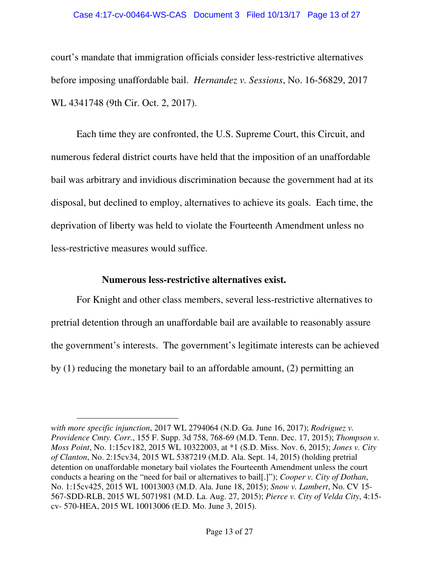#### Case 4:17-cv-00464-WS-CAS Document 3 Filed 10/13/17 Page 13 of 27

court's mandate that immigration officials consider less-restrictive alternatives before imposing unaffordable bail. *Hernandez v. Sessions*, No. 16-56829, 2017 WL 4341748 (9th Cir. Oct. 2, 2017).

Each time they are confronted, the U.S. Supreme Court, this Circuit, and numerous federal district courts have held that the imposition of an unaffordable bail was arbitrary and invidious discrimination because the government had at its disposal, but declined to employ, alternatives to achieve its goals. Each time, the deprivation of liberty was held to violate the Fourteenth Amendment unless no less-restrictive measures would suffice.

### **Numerous less-restrictive alternatives exist.**

 $\overline{a}$ 

For Knight and other class members, several less-restrictive alternatives to pretrial detention through an unaffordable bail are available to reasonably assure the government's interests. The government's legitimate interests can be achieved by (1) reducing the monetary bail to an affordable amount, (2) permitting an

*with more specific injunction*, 2017 WL 2794064 (N.D. Ga. June 16, 2017); *Rodriguez v. Providence Cmty. Corr.*, 155 F. Supp. 3d 758, 768-69 (M.D. Tenn. Dec. 17, 2015); *Thompson v. Moss Point*, No. 1:15cv182, 2015 WL 10322003, at \*1 (S.D. Miss. Nov. 6, 2015); *Jones v. City of Clanton*, No. 2:15cv34, 2015 WL 5387219 (M.D. Ala. Sept. 14, 2015) (holding pretrial detention on unaffordable monetary bail violates the Fourteenth Amendment unless the court conducts a hearing on the "need for bail or alternatives to bail[.]"); *Cooper v. City of Dothan*, No. 1:15cv425, 2015 WL 10013003 (M.D. Ala. June 18, 2015); *Snow v. Lambert*, No. CV 15- 567-SDD-RLB, 2015 WL 5071981 (M.D. La. Aug. 27, 2015); *Pierce v. City of Velda City*, 4:15 cv- 570-HEA, 2015 WL 10013006 (E.D. Mo. June 3, 2015).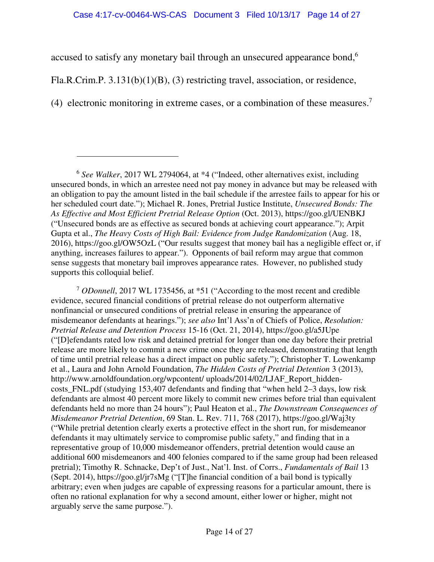accused to satisfy any monetary bail through an unsecured appearance bond,<sup>6</sup>

Fla.R.Crim.P. 3.131(b)(1)(B), (3) restricting travel, association, or residence,

 $\overline{a}$ 

(4) electronic monitoring in extreme cases, or a combination of these measures.<sup>7</sup>

<sup>6</sup> See Walker, 2017 WL 2794064, at \*4 ("Indeed, other alternatives exist, including unsecured bonds, in which an arrestee need not pay money in advance but may be released with an obligation to pay the amount listed in the bail schedule if the arrestee fails to appear for his or her scheduled court date."); Michael R. Jones, Pretrial Justice Institute, *Unsecured Bonds: The As Effective and Most Efficient Pretrial Release Option* (Oct. 2013), https://goo.gl/UENBKJ ("Unsecured bonds are as effective as secured bonds at achieving court appearance."); Arpit Gupta et al., *The Heavy Costs of High Bail: Evidence from Judge Randomization* (Aug. 18, 2016), https://goo.gl/OW5OzL ("Our results suggest that money bail has a negligible effect or, if anything, increases failures to appear."). Opponents of bail reform may argue that common sense suggests that monetary bail improves appearance rates. However, no published study supports this colloquial belief.

<sup>7</sup> *ODonnell*, 2017 WL 1735456, at \*51 ("According to the most recent and credible evidence, secured financial conditions of pretrial release do not outperform alternative nonfinancial or unsecured conditions of pretrial release in ensuring the appearance of misdemeanor defendants at hearings."); *see also* Int'l Ass'n of Chiefs of Police, *Resolution: Pretrial Release and Detention Process* 15-16 (Oct. 21, 2014), https://goo.gl/a5JUpe ("[D]efendants rated low risk and detained pretrial for longer than one day before their pretrial release are more likely to commit a new crime once they are released, demonstrating that length of time until pretrial release has a direct impact on public safety."); Christopher T. Lowenkamp et al., Laura and John Arnold Foundation, *The Hidden Costs of Pretrial Detention* 3 (2013), http://www.arnoldfoundation.org/wpcontent/ uploads/2014/02/LJAF\_Report\_hiddencosts\_FNL.pdf (studying 153,407 defendants and finding that "when held 2–3 days, low risk defendants are almost 40 percent more likely to commit new crimes before trial than equivalent defendants held no more than 24 hours"); Paul Heaton et al., *The Downstream Consequences of Misdemeanor Pretrial Detention*, 69 Stan. L. Rev. 711, 768 (2017), https://goo.gl/Waj3ty ("While pretrial detention clearly exerts a protective effect in the short run, for misdemeanor defendants it may ultimately service to compromise public safety," and finding that in a representative group of 10,000 misdemeanor offenders, pretrial detention would cause an additional 600 misdemeanors and 400 felonies compared to if the same group had been released pretrial); Timothy R. Schnacke, Dep't of Just., Nat'l. Inst. of Corrs., *Fundamentals of Bail* 13 (Sept. 2014), https://goo.gl/jr7sMg ("[T]he financial condition of a bail bond is typically arbitrary; even when judges are capable of expressing reasons for a particular amount, there is often no rational explanation for why a second amount, either lower or higher, might not arguably serve the same purpose.").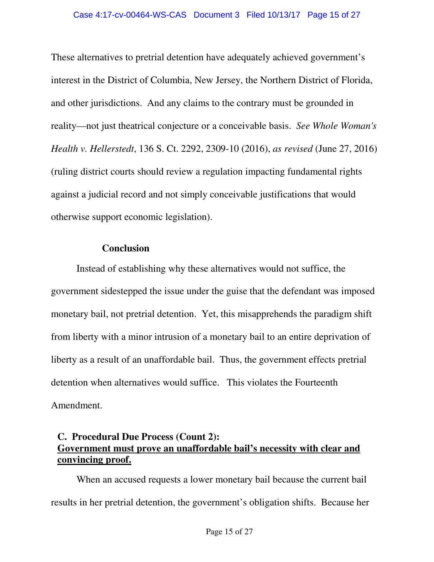These alternatives to pretrial detention have adequately achieved government's interest in the District of Columbia, New Jersey, the Northern District of Florida, and other jurisdictions. And any claims to the contrary must be grounded in reality—not just theatrical conjecture or a conceivable basis. *See Whole Woman's Health v. Hellerstedt*, 136 S. Ct. 2292, 2309-10 (2016), *as revised* (June 27, 2016) (ruling district courts should review a regulation impacting fundamental rights against a judicial record and not simply conceivable justifications that would otherwise support economic legislation).

### **Conclusion**

Instead of establishing why these alternatives would not suffice, the government sidestepped the issue under the guise that the defendant was imposed monetary bail, not pretrial detention. Yet, this misapprehends the paradigm shift from liberty with a minor intrusion of a monetary bail to an entire deprivation of liberty as a result of an unaffordable bail. Thus, the government effects pretrial detention when alternatives would suffice. This violates the Fourteenth Amendment.

## **C. Procedural Due Process (Count 2): Government must prove an unaffordable bail's necessity with clear and convincing proof.**

When an accused requests a lower monetary bail because the current bail results in her pretrial detention, the government's obligation shifts. Because her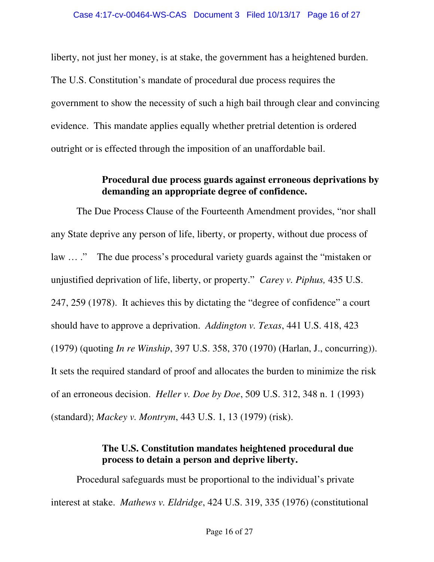liberty, not just her money, is at stake, the government has a heightened burden. The U.S. Constitution's mandate of procedural due process requires the government to show the necessity of such a high bail through clear and convincing evidence. This mandate applies equally whether pretrial detention is ordered outright or is effected through the imposition of an unaffordable bail.

### **Procedural due process guards against erroneous deprivations by demanding an appropriate degree of confidence.**

The Due Process Clause of the Fourteenth Amendment provides, "nor shall any State deprive any person of life, liberty, or property, without due process of law … ." The due process's procedural variety guards against the "mistaken or unjustified deprivation of life, liberty, or property." *Carey v. Piphus,* 435 U.S. 247, 259 (1978). It achieves this by dictating the "degree of confidence" a court should have to approve a deprivation. *Addington v. Texas*, 441 U.S. 418, 423 (1979) (quoting *In re Winship*, 397 U.S. 358, 370 (1970) (Harlan, J., concurring)). It sets the required standard of proof and allocates the burden to minimize the risk of an erroneous decision. *Heller v. Doe by Doe*, 509 U.S. 312, 348 n. 1 (1993) (standard); *Mackey v. Montrym*, 443 U.S. 1, 13 (1979) (risk).

# **The U.S. Constitution mandates heightened procedural due process to detain a person and deprive liberty.**

Procedural safeguards must be proportional to the individual's private interest at stake. *Mathews v. Eldridge*, 424 U.S. 319, 335 (1976) (constitutional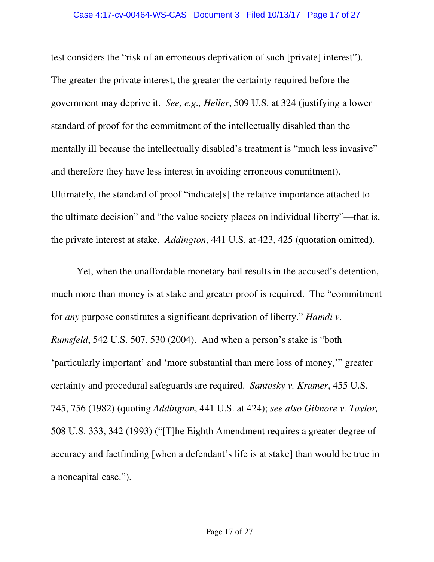test considers the "risk of an erroneous deprivation of such [private] interest"). The greater the private interest, the greater the certainty required before the government may deprive it. *See, e.g., Heller*, 509 U.S. at 324 (justifying a lower standard of proof for the commitment of the intellectually disabled than the mentally ill because the intellectually disabled's treatment is "much less invasive" and therefore they have less interest in avoiding erroneous commitment). Ultimately, the standard of proof "indicate[s] the relative importance attached to the ultimate decision" and "the value society places on individual liberty"—that is, the private interest at stake. *Addington*, 441 U.S. at 423, 425 (quotation omitted).

Yet, when the unaffordable monetary bail results in the accused's detention, much more than money is at stake and greater proof is required. The "commitment for *any* purpose constitutes a significant deprivation of liberty." *Hamdi v. Rumsfeld*, 542 U.S. 507, 530 (2004). And when a person's stake is "both 'particularly important' and 'more substantial than mere loss of money,'" greater certainty and procedural safeguards are required. *Santosky v. Kramer*, 455 U.S. 745, 756 (1982) (quoting *Addington*, 441 U.S. at 424); *see also Gilmore v. Taylor,* 508 U.S. 333, 342 (1993) ("[T]he Eighth Amendment requires a greater degree of accuracy and factfinding [when a defendant's life is at stake] than would be true in a noncapital case.").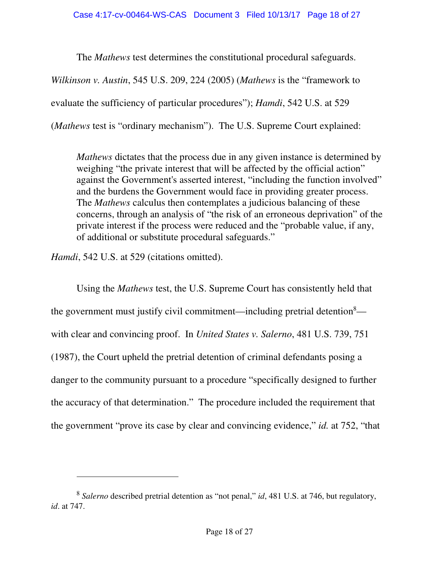The *Mathews* test determines the constitutional procedural safeguards.

*Wilkinson v. Austin*, 545 U.S. 209, 224 (2005) (*Mathews* is the "framework to

evaluate the sufficiency of particular procedures"); *Hamdi*, 542 U.S. at 529

(*Mathews* test is "ordinary mechanism"). The U.S. Supreme Court explained:

*Mathews* dictates that the process due in any given instance is determined by weighing "the private interest that will be affected by the official action" against the Government's asserted interest, "including the function involved" and the burdens the Government would face in providing greater process. The *Mathews* calculus then contemplates a judicious balancing of these concerns, through an analysis of "the risk of an erroneous deprivation" of the private interest if the process were reduced and the "probable value, if any, of additional or substitute procedural safeguards."

*Hamdi*, 542 U.S. at 529 (citations omitted).

 $\overline{a}$ 

Using the *Mathews* test, the U.S. Supreme Court has consistently held that the government must justify civil commitment—including pretrial detention<sup>8</sup> with clear and convincing proof. In *United States v. Salerno*, 481 U.S. 739, 751 (1987), the Court upheld the pretrial detention of criminal defendants posing a danger to the community pursuant to a procedure "specifically designed to further the accuracy of that determination." The procedure included the requirement that the government "prove its case by clear and convincing evidence," *id.* at 752, "that

<sup>8</sup> *Salerno* described pretrial detention as "not penal," *id*, 481 U.S. at 746, but regulatory, *id*. at 747.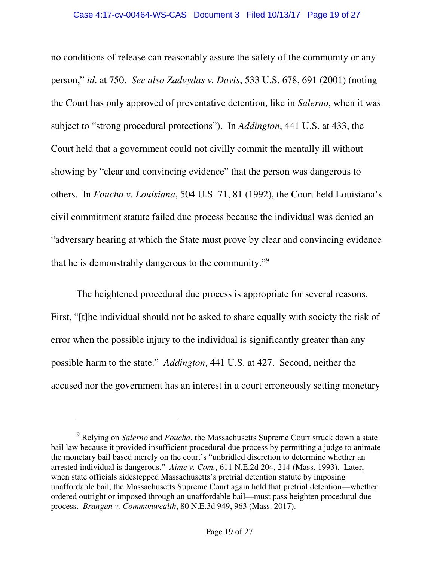no conditions of release can reasonably assure the safety of the community or any person," *id*. at 750. *See also Zadvydas v. Davis*, 533 U.S. 678, 691 (2001) (noting the Court has only approved of preventative detention, like in *Salerno*, when it was subject to "strong procedural protections"). In *Addington*, 441 U.S. at 433, the Court held that a government could not civilly commit the mentally ill without showing by "clear and convincing evidence" that the person was dangerous to others. In *Foucha v. Louisiana*, 504 U.S. 71, 81 (1992), the Court held Louisiana's civil commitment statute failed due process because the individual was denied an "adversary hearing at which the State must prove by clear and convincing evidence that he is demonstrably dangerous to the community."<sup>9</sup>

The heightened procedural due process is appropriate for several reasons. First, "[t]he individual should not be asked to share equally with society the risk of error when the possible injury to the individual is significantly greater than any possible harm to the state." *Addington*, 441 U.S. at 427. Second, neither the accused nor the government has an interest in a court erroneously setting monetary

 $\overline{a}$ 

<sup>9</sup> Relying on *Salerno* and *Foucha*, the Massachusetts Supreme Court struck down a state bail law because it provided insufficient procedural due process by permitting a judge to animate the monetary bail based merely on the court's "unbridled discretion to determine whether an arrested individual is dangerous." *Aime v. Com.*, 611 N.E.2d 204, 214 (Mass. 1993). Later, when state officials sidestepped Massachusetts's pretrial detention statute by imposing unaffordable bail, the Massachusetts Supreme Court again held that pretrial detention—whether ordered outright or imposed through an unaffordable bail—must pass heighten procedural due process. *Brangan v. Commonwealth*, 80 N.E.3d 949, 963 (Mass. 2017).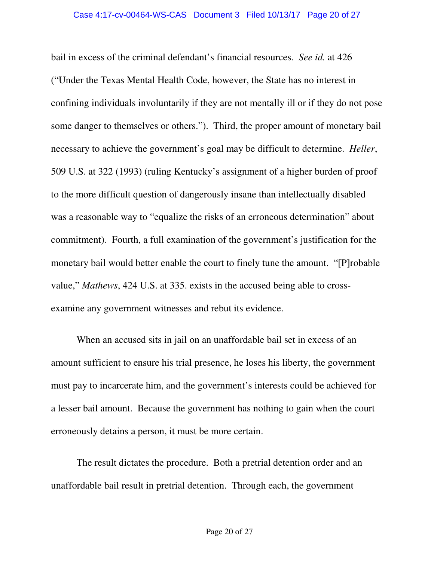bail in excess of the criminal defendant's financial resources. *See id.* at 426 ("Under the Texas Mental Health Code, however, the State has no interest in confining individuals involuntarily if they are not mentally ill or if they do not pose some danger to themselves or others."). Third, the proper amount of monetary bail necessary to achieve the government's goal may be difficult to determine. *Heller*, 509 U.S. at 322 (1993) (ruling Kentucky's assignment of a higher burden of proof to the more difficult question of dangerously insane than intellectually disabled was a reasonable way to "equalize the risks of an erroneous determination" about commitment). Fourth, a full examination of the government's justification for the monetary bail would better enable the court to finely tune the amount. "[P]robable value," *Mathews*, 424 U.S. at 335. exists in the accused being able to crossexamine any government witnesses and rebut its evidence.

When an accused sits in jail on an unaffordable bail set in excess of an amount sufficient to ensure his trial presence, he loses his liberty, the government must pay to incarcerate him, and the government's interests could be achieved for a lesser bail amount. Because the government has nothing to gain when the court erroneously detains a person, it must be more certain.

The result dictates the procedure. Both a pretrial detention order and an unaffordable bail result in pretrial detention. Through each, the government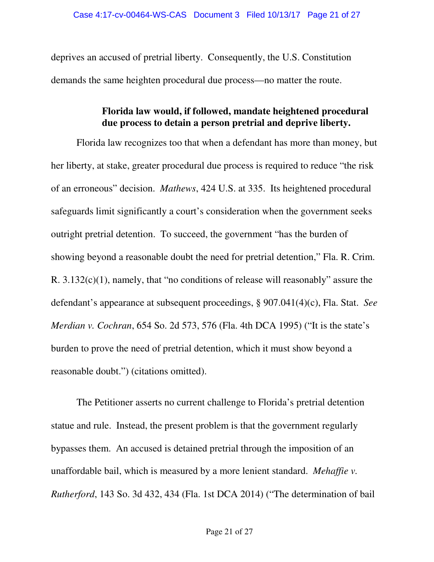deprives an accused of pretrial liberty. Consequently, the U.S. Constitution demands the same heighten procedural due process—no matter the route.

# **Florida law would, if followed, mandate heightened procedural due process to detain a person pretrial and deprive liberty.**

Florida law recognizes too that when a defendant has more than money, but her liberty, at stake, greater procedural due process is required to reduce "the risk of an erroneous" decision. *Mathews*, 424 U.S. at 335. Its heightened procedural safeguards limit significantly a court's consideration when the government seeks outright pretrial detention. To succeed, the government "has the burden of showing beyond a reasonable doubt the need for pretrial detention," Fla. R. Crim. R. 3.132(c)(1), namely, that "no conditions of release will reasonably" assure the defendant's appearance at subsequent proceedings, § 907.041(4)(c), Fla. Stat. *See Merdian v. Cochran*, 654 So. 2d 573, 576 (Fla. 4th DCA 1995) ("It is the state's burden to prove the need of pretrial detention, which it must show beyond a reasonable doubt.") (citations omitted).

The Petitioner asserts no current challenge to Florida's pretrial detention statue and rule. Instead, the present problem is that the government regularly bypasses them. An accused is detained pretrial through the imposition of an unaffordable bail, which is measured by a more lenient standard. *Mehaffie v. Rutherford*, 143 So. 3d 432, 434 (Fla. 1st DCA 2014) ("The determination of bail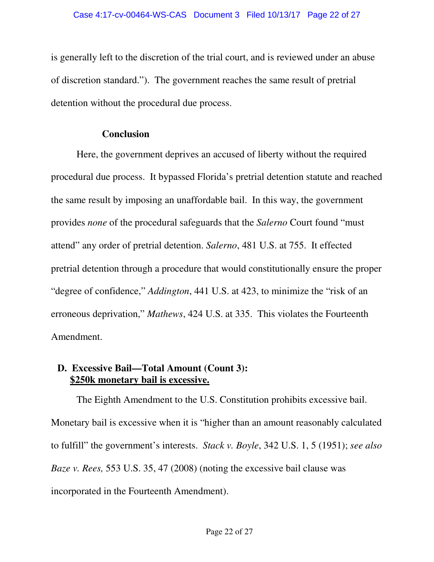is generally left to the discretion of the trial court, and is reviewed under an abuse of discretion standard."). The government reaches the same result of pretrial detention without the procedural due process.

### **Conclusion**

Here, the government deprives an accused of liberty without the required procedural due process. It bypassed Florida's pretrial detention statute and reached the same result by imposing an unaffordable bail. In this way, the government provides *none* of the procedural safeguards that the *Salerno* Court found "must attend" any order of pretrial detention. *Salerno*, 481 U.S. at 755. It effected pretrial detention through a procedure that would constitutionally ensure the proper "degree of confidence," *Addington*, 441 U.S. at 423, to minimize the "risk of an erroneous deprivation," *Mathews*, 424 U.S. at 335. This violates the Fourteenth Amendment.

### **D. Excessive Bail—Total Amount (Count 3): \$250k monetary bail is excessive.**

The Eighth Amendment to the U.S. Constitution prohibits excessive bail. Monetary bail is excessive when it is "higher than an amount reasonably calculated to fulfill" the government's interests. *Stack v. Boyle*, 342 U.S. 1, 5 (1951); *see also Baze v. Rees,* 553 U.S. 35, 47 (2008) (noting the excessive bail clause was incorporated in the Fourteenth Amendment).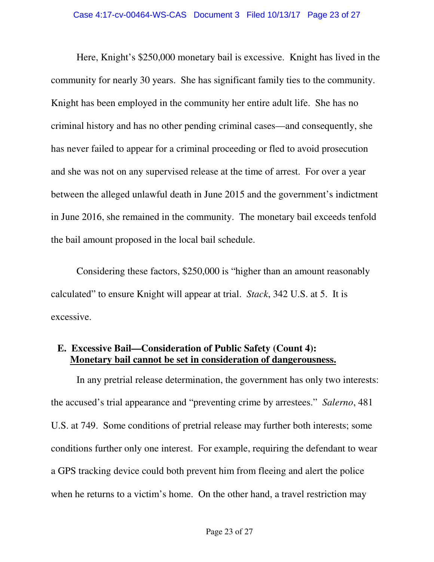Here, Knight's \$250,000 monetary bail is excessive. Knight has lived in the community for nearly 30 years. She has significant family ties to the community. Knight has been employed in the community her entire adult life. She has no criminal history and has no other pending criminal cases—and consequently, she has never failed to appear for a criminal proceeding or fled to avoid prosecution and she was not on any supervised release at the time of arrest. For over a year between the alleged unlawful death in June 2015 and the government's indictment in June 2016, she remained in the community. The monetary bail exceeds tenfold the bail amount proposed in the local bail schedule.

Considering these factors, \$250,000 is "higher than an amount reasonably calculated" to ensure Knight will appear at trial. *Stack*, 342 U.S. at 5. It is excessive.

## **E. Excessive Bail—Consideration of Public Safety (Count 4): Monetary bail cannot be set in consideration of dangerousness.**

In any pretrial release determination, the government has only two interests: the accused's trial appearance and "preventing crime by arrestees." *Salerno*, 481 U.S. at 749. Some conditions of pretrial release may further both interests; some conditions further only one interest. For example, requiring the defendant to wear a GPS tracking device could both prevent him from fleeing and alert the police when he returns to a victim's home. On the other hand, a travel restriction may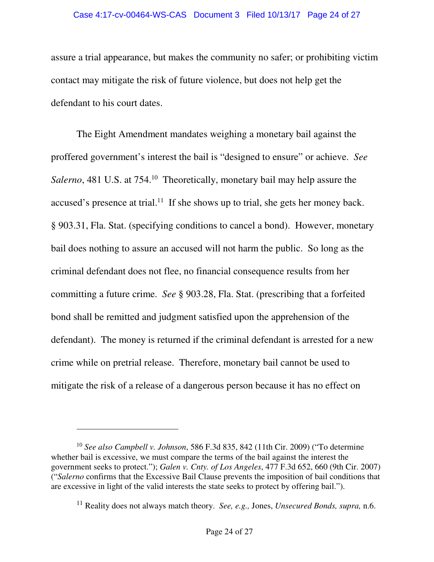#### Case 4:17-cv-00464-WS-CAS Document 3 Filed 10/13/17 Page 24 of 27

assure a trial appearance, but makes the community no safer; or prohibiting victim contact may mitigate the risk of future violence, but does not help get the defendant to his court dates.

The Eight Amendment mandates weighing a monetary bail against the proffered government's interest the bail is "designed to ensure" or achieve. *See Salerno*, 481 U.S. at 754.<sup>10</sup> Theoretically, monetary bail may help assure the accused's presence at trial.<sup>11</sup> If she shows up to trial, she gets her money back. § 903.31, Fla. Stat. (specifying conditions to cancel a bond). However, monetary bail does nothing to assure an accused will not harm the public. So long as the criminal defendant does not flee, no financial consequence results from her committing a future crime. *See* § 903.28, Fla. Stat. (prescribing that a forfeited bond shall be remitted and judgment satisfied upon the apprehension of the defendant). The money is returned if the criminal defendant is arrested for a new crime while on pretrial release. Therefore, monetary bail cannot be used to mitigate the risk of a release of a dangerous person because it has no effect on

 $\overline{a}$ 

<sup>10</sup> *See also Campbell v. Johnson*, 586 F.3d 835, 842 (11th Cir. 2009) ("To determine whether bail is excessive, we must compare the terms of the bail against the interest the government seeks to protect."); *Galen v. Cnty. of Los Angeles*, 477 F.3d 652, 660 (9th Cir. 2007) ("*Salerno* confirms that the Excessive Bail Clause prevents the imposition of bail conditions that are excessive in light of the valid interests the state seeks to protect by offering bail.").

<sup>11</sup> Reality does not always match theory. *See, e.g.,* Jones, *Unsecured Bonds, supra,* n.6.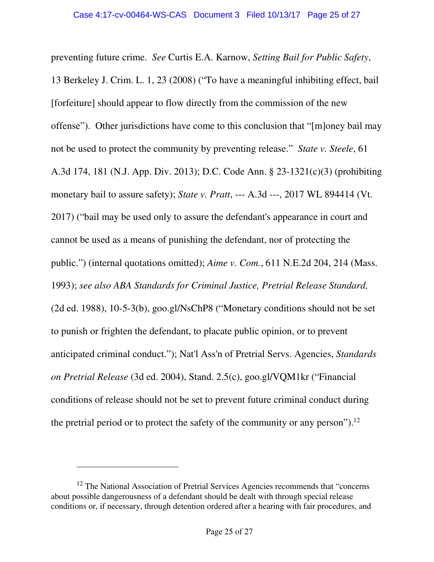preventing future crime. *See* Curtis E.A. Karnow, *Setting Bail for Public Safety*, 13 Berkeley J. Crim. L. 1, 23 (2008) ("To have a meaningful inhibiting effect, bail [forfeiture] should appear to flow directly from the commission of the new offense"). Other jurisdictions have come to this conclusion that "[m]oney bail may not be used to protect the community by preventing release." *State v. Steele*, 61 A.3d 174, 181 (N.J. App. Div. 2013); D.C. Code Ann. § 23-1321(c)(3) (prohibiting monetary bail to assure safety); *State v. Pratt*, --- A.3d ---, 2017 WL 894414 (Vt. 2017) ("bail may be used only to assure the defendant's appearance in court and cannot be used as a means of punishing the defendant, nor of protecting the public.") (internal quotations omitted); *Aime v. Com.*, 611 N.E.2d 204, 214 (Mass. 1993); *see also ABA Standards for Criminal Justice, Pretrial Release Standard,* (2d ed. 1988), 10-5-3(b), goo.gl/NsChP8 ("Monetary conditions should not be set to punish or frighten the defendant, to placate public opinion, or to prevent anticipated criminal conduct."); Nat'l Ass'n of Pretrial Servs. Agencies, *Standards on Pretrial Release* (3d ed. 2004), Stand. 2.5(c), goo.gl/VQM1kr ("Financial conditions of release should not be set to prevent future criminal conduct during the pretrial period or to protect the safety of the community or any person").<sup>12</sup>

 $\ddot{\phantom{a}}$ 

<sup>&</sup>lt;sup>12</sup> The National Association of Pretrial Services Agencies recommends that "concerns" about possible dangerousness of a defendant should be dealt with through special release conditions or, if necessary, through detention ordered after a hearing with fair procedures, and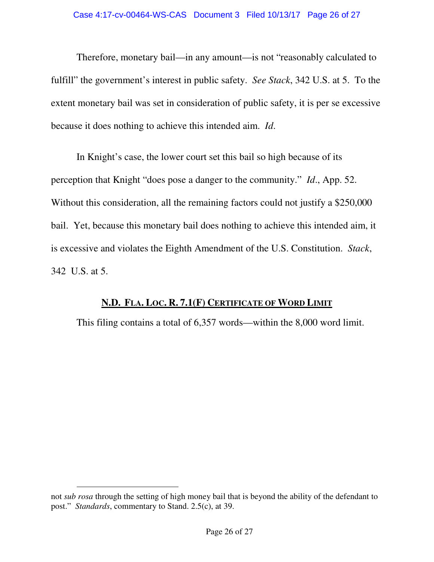Therefore, monetary bail—in any amount—is not "reasonably calculated to fulfill" the government's interest in public safety. *See Stack*, 342 U.S. at 5. To the extent monetary bail was set in consideration of public safety, it is per se excessive because it does nothing to achieve this intended aim. *Id*.

In Knight's case, the lower court set this bail so high because of its perception that Knight "does pose a danger to the community." *Id*., App. 52. Without this consideration, all the remaining factors could not justify a \$250,000 bail. Yet, because this monetary bail does nothing to achieve this intended aim, it is excessive and violates the Eighth Amendment of the U.S. Constitution. *Stack*, 342 U.S. at 5.

### **N.D. FLA. LOC. R. 7.1(F) CERTIFICATE OF WORD LIMIT**

This filing contains a total of 6,357 words—within the 8,000 word limit.

 $\ddot{\phantom{a}}$ 

not *sub rosa* through the setting of high money bail that is beyond the ability of the defendant to post." *Standards*, commentary to Stand. 2.5(c), at 39.